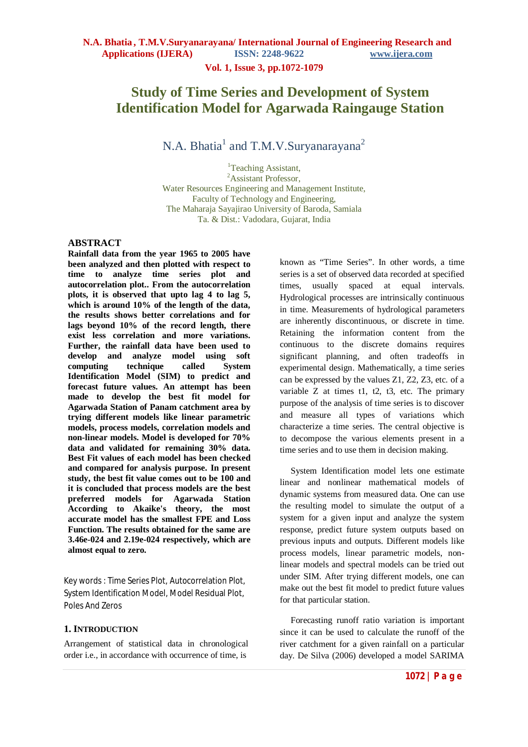**Vol. 1, Issue 3, pp.1072-1079**

# **Study of Time Series and Development of System Identification Model for Agarwada Raingauge Station**

N.A. Bhatia $^1$  and T.M.V.Suryanarayana<sup>2</sup>

<sup>1</sup>Teaching Assistant, <sup>2</sup>Assistant Professor, Water Resources Engineering and Management Institute, Faculty of Technology and Engineering, The Maharaja Sayajirao University of Baroda, Samiala Ta. & Dist.: Vadodara, Gujarat, India

## **ABSTRACT**

**Rainfall data from the year 1965 to 2005 have been analyzed and then plotted with respect to time to analyze time series plot and autocorrelation plot.. From the autocorrelation plots, it is observed that upto lag 4 to lag 5, which is around 10% of the length of the data, the results shows better correlations and for lags beyond 10% of the record length, there exist less correlation and more variations. Further, the rainfall data have been used to develop and analyze model using soft computing technique called System Identification Model (SIM) to predict and forecast future values. An attempt has been made to develop the best fit model for Agarwada Station of Panam catchment area by trying different models like linear parametric models, process models, correlation models and non-linear models. Model is developed for 70% data and validated for remaining 30% data. Best Fit values of each model has been checked and compared for analysis purpose. In present study, the best fit value comes out to be 100 and it is concluded that process models are the best preferred models for Agarwada Station According to Akaike's theory, the most accurate model has the smallest FPE and Loss Function. The results obtained for the same are 3.46e-024 and 2.19e-024 respectively, which are almost equal to zero.** 

Key words : Time Series Plot, Autocorrelation Plot, System Identification Model, Model Residual Plot, Poles And Zeros

## **1. INTRODUCTION**

Arrangement of statistical data in chronological order i.e., in accordance with occurrence of time, is

known as "Time Series". In other words, a time series is a set of observed data recorded at specified times, usually spaced at equal intervals. Hydrological processes are intrinsically continuous in time. Measurements of hydrological parameters are inherently discontinuous, or discrete in time. Retaining the information content from the continuous to the discrete domains requires significant planning, and often tradeoffs in experimental design. Mathematically, a time series can be expressed by the values Z1, Z2, Z3, etc. of a variable Z at times t1, t2, t3, etc. The primary purpose of the analysis of time series is to discover and measure all types of variations which characterize a time series. The central objective is to decompose the various elements present in a time series and to use them in decision making.

 System Identification model lets one estimate linear and nonlinear mathematical models of dynamic systems from measured data. One can use the resulting model to simulate the output of a system for a given input and analyze the system response, predict future system outputs based on previous inputs and outputs. Different models like process models, linear parametric models, nonlinear models and spectral models can be tried out under SIM. After trying different models, one can make out the best fit model to predict future values for that particular station.

 Forecasting runoff ratio variation is important since it can be used to calculate the runoff of the river catchment for a given rainfall on a particular day. De Silva (2006) developed a model SARIMA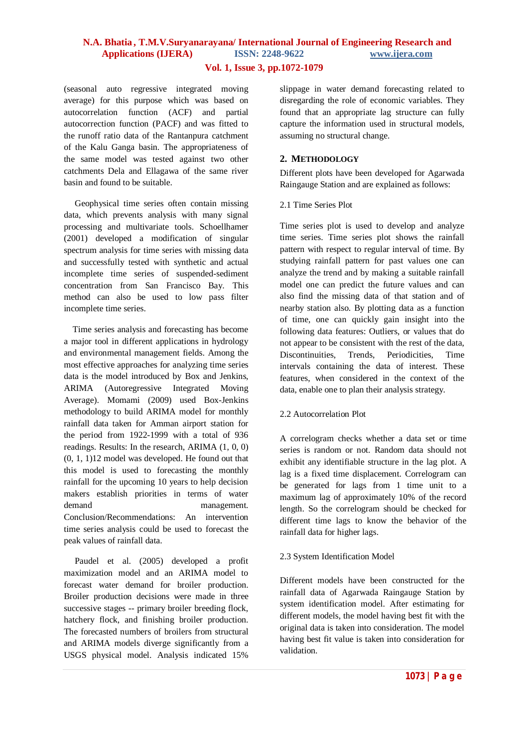## **Vol. 1, Issue 3, pp.1072-1079**

(seasonal auto regressive integrated moving average) for this purpose which was based on autocorrelation function (ACF) and partial autocorrection function (PACF) and was fitted to the runoff ratio data of the Rantanpura catchment of the Kalu Ganga basin. The appropriateness of the same model was tested against two other catchments Dela and Ellagawa of the same river basin and found to be suitable.

 Geophysical time series often contain missing data, which prevents analysis with many signal processing and multivariate tools. Schoellhamer (2001) developed a modification of singular spectrum analysis for time series with missing data and successfully tested with synthetic and actual incomplete time series of suspended-sediment concentration from San Francisco Bay. This method can also be used to low pass filter incomplete time series.

 Time series analysis and forecasting has become a major tool in different applications in hydrology and environmental management fields. Among the most effective approaches for analyzing time series data is the model introduced by Box and Jenkins, ARIMA (Autoregressive Integrated Moving Average). Momami (2009) used Box-Jenkins methodology to build ARIMA model for monthly rainfall data taken for Amman airport station for the period from 1922-1999 with a total of 936 readings. Results: In the research, ARIMA (1, 0, 0) (0, 1, 1)12 model was developed. He found out that this model is used to forecasting the monthly rainfall for the upcoming 10 years to help decision makers establish priorities in terms of water demand management. Conclusion/Recommendations: An intervention time series analysis could be used to forecast the peak values of rainfall data.

 Paudel et al. (2005) developed a profit maximization model and an ARIMA model to forecast water demand for broiler production. Broiler production decisions were made in three successive stages -- primary broiler breeding flock, hatchery flock, and finishing broiler production. The forecasted numbers of broilers from structural and ARIMA models diverge significantly from a USGS physical model. Analysis indicated 15%

slippage in water demand forecasting related to disregarding the role of economic variables. They found that an appropriate lag structure can fully capture the information used in structural models, assuming no structural change.

## **2. METHODOLOGY**

Different plots have been developed for Agarwada Raingauge Station and are explained as follows:

### 2.1 Time Series Plot

Time series plot is used to develop and analyze time series. Time series plot shows the rainfall pattern with respect to regular interval of time. By studying rainfall pattern for past values one can analyze the trend and by making a suitable rainfall model one can predict the future values and can also find the missing data of that station and of nearby station also. By plotting data as a function of time, one can quickly gain insight into the following data features: Outliers, or values that do not appear to be consistent with the rest of the data, Discontinuities, Trends, Periodicities, Time intervals containing the data of interest. These features, when considered in the context of the data, enable one to plan their analysis strategy.

## 2.2 Autocorrelation Plot

A correlogram checks whether a data set or time series is random or not. Random data should not exhibit any identifiable structure in the lag plot. A lag is a fixed time displacement. Correlogram can be generated for lags from 1 time unit to a maximum lag of approximately 10% of the record length. So the correlogram should be checked for different time lags to know the behavior of the rainfall data for higher lags.

## 2.3 System Identification Model

Different models have been constructed for the rainfall data of Agarwada Raingauge Station by system identification model. After estimating for different models, the model having best fit with the original data is taken into consideration. The model having best fit value is taken into consideration for validation.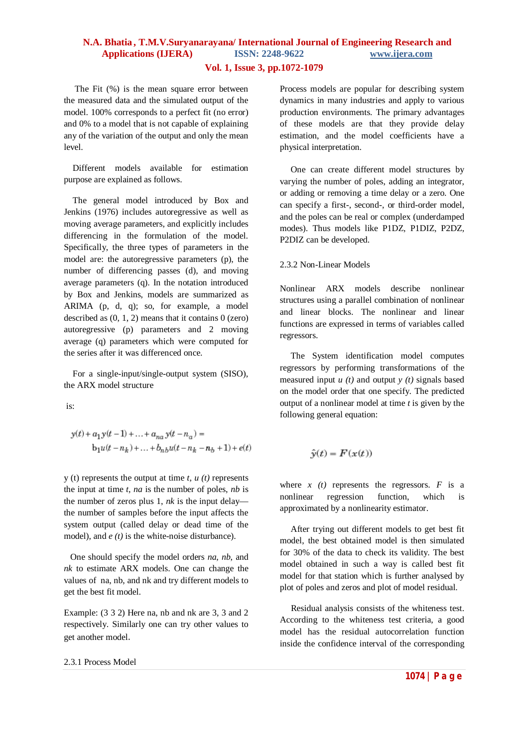## **Vol. 1, Issue 3, pp.1072-1079**

 The Fit (%) is the mean square error between the measured data and the simulated output of the model. 100% corresponds to a perfect fit (no error) and 0% to a model that is not capable of explaining any of the variation of the output and only the mean level.

 Different models available for estimation purpose are explained as follows.

 The general model introduced by Box and Jenkins (1976) includes autoregressive as well as moving average parameters, and explicitly includes differencing in the formulation of the model. Specifically, the three types of parameters in the model are: the autoregressive parameters (p), the number of differencing passes (d), and moving average parameters (q). In the notation introduced by Box and Jenkins, models are summarized as ARIMA (p, d, q); so, for example, a model described as  $(0, 1, 2)$  means that it contains  $(0)$  (zero) autoregressive (p) parameters and 2 moving average (q) parameters which were computed for the series after it was differenced once.

 For a single-input/single-output system (SISO), the ARX model structure

 $i_{S}$ 

$$
\begin{aligned} y(t)+a_1y(t-1)+\ldots+a_{na}y(t-n_a)=\\ \hspace{0.5cm}\textbf{b}_1u(t-n_k)+\ldots+b_{nb}u(t-n_k-n_b+1)+e(t) \end{aligned}
$$

y (t) represents the output at time *t*, *u (t)* represents the input at time *t*, *na* is the number of poles, *nb* is the number of zeros plus 1, *nk* is the input delay the number of samples before the input affects the system output (called delay or dead time of the model), and *e* (*t*) is the white-noise disturbance).

 One should specify the model orders *na*, *nb*, and *nk* to estimate ARX models. One can change the values of na, nb, and nk and try different models to get the best fit model.

Example: (3 3 2) Here na, nb and nk are 3, 3 and 2 respectively. Similarly one can try other values to get another model.

Process models are popular for describing system dynamics in many industries and apply to various production environments. The primary advantages of these models are that they provide delay estimation, and the model coefficients have a physical interpretation.

 One can create different model structures by varying the number of poles, adding an integrator, or adding or removing a time delay or a zero. One can specify a first-, second-, or third-order model, and the poles can be real or complex (underdamped modes). Thus models like P1DZ, P1DIZ, P2DZ, P2DIZ can be developed.

#### 2.3.2 Non-Linear Models

Nonlinear ARX models describe nonlinear structures using a parallel combination of nonlinear and linear blocks. The nonlinear and linear functions are expressed in terms of variables called regressors.

 The System identification model computes regressors by performing transformations of the measured input *u (t)* and output *y (t)* signals based on the model order that one specify. The predicted output of a nonlinear model at time *t* is given by the following general equation:

$$
\hat{y}(t) = F(x(t))
$$

where  $x(t)$  represents the regressors.  $F$  is a nonlinear regression function, which is approximated by a nonlinearity estimator.

 After trying out different models to get best fit model, the best obtained model is then simulated for 30% of the data to check its validity. The best model obtained in such a way is called best fit model for that station which is further analysed by plot of poles and zeros and plot of model residual.

 Residual analysis consists of the whiteness test. According to the whiteness test criteria, a good model has the residual autocorrelation function inside the confidence interval of the corresponding

#### 2.3.1 Process Model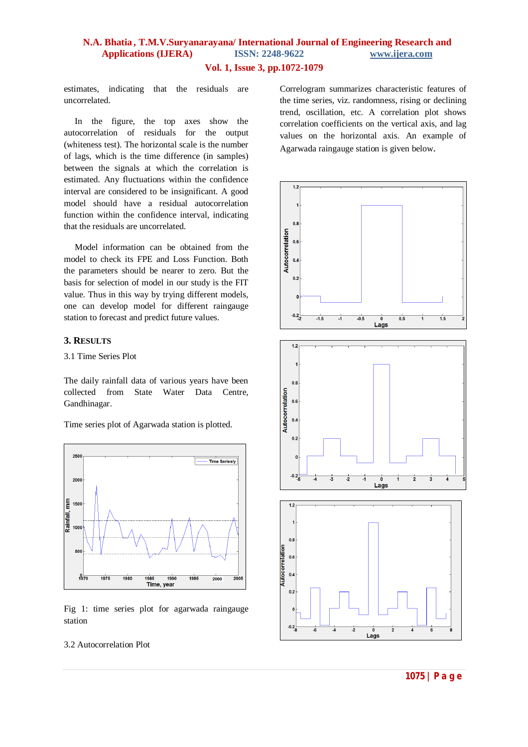estimates, indicating that the residuals are uncorrelated.

 In the figure, the top axes show the autocorrelation of residuals for the output (whiteness test). The horizontal scale is the number of lags, which is the time difference (in samples) between the signals at which the correlation is estimated. Any fluctuations within the confidence interval are considered to be insignificant. A good model should have a residual autocorrelation function within the confidence interval, indicating that the residuals are uncorrelated.

 Model information can be obtained from the model to check its FPE and Loss Function. Both the parameters should be nearer to zero. But the basis for selection of model in our study is the FIT value. Thus in this way by trying different models, one can develop model for different raingauge station to forecast and predict future values.

#### **3. RESULTS**

3.1 Time Series Plot

The daily rainfall data of various years have been collected from State Water Data Centre, Gandhinagar.

Time series plot of Agarwada station is plotted.



Fig 1: time series plot for agarwada raingauge station

#### 3.2 Autocorrelation Plot

Correlogram summarizes characteristic features of the time series, viz. randomness, rising or declining trend, oscillation, etc. A correlation plot shows correlation coefficients on the vertical axis, and lag values on the horizontal axis. An example of Agarwada raingauge station is given below.

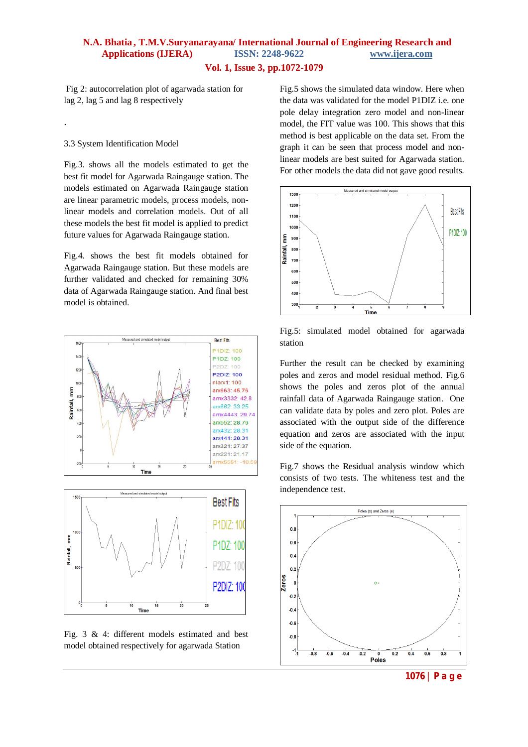Fig 2: autocorrelation plot of agarwada station for lag 2, lag 5 and lag 8 respectively

#### 3.3 System Identification Model

.

Fig.3. shows all the models estimated to get the best fit model for Agarwada Raingauge station. The models estimated on Agarwada Raingauge station are linear parametric models, process models, nonlinear models and correlation models. Out of all these models the best fit model is applied to predict future values for Agarwada Raingauge station.

Fig.4. shows the best fit models obtained for Agarwada Raingauge station. But these models are further validated and checked for remaining 30% data of Agarwada Raingauge station. And final best model is obtained.





Fig. 3 & 4: different models estimated and best model obtained respectively for agarwada Station

Fig.5 shows the simulated data window. Here when the data was validated for the model P1DIZ i.e. one pole delay integration zero model and non-linear model, the FIT value was 100. This shows that this method is best applicable on the data set. From the graph it can be seen that process model and nonlinear models are best suited for Agarwada station. For other models the data did not gave good results.



Fig.5: simulated model obtained for agarwada station

Further the result can be checked by examining poles and zeros and model residual method. Fig.6 shows the poles and zeros plot of the annual rainfall data of Agarwada Raingauge station. One can validate data by poles and zero plot. Poles are associated with the output side of the difference equation and zeros are associated with the input side of the equation.

Fig.7 shows the Residual analysis window which consists of two tests. The whiteness test and the independence test.



**1076 | P a g e**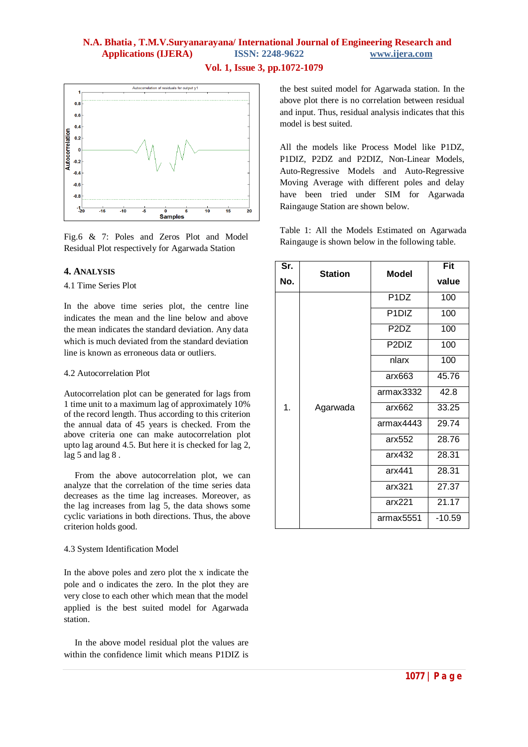## **Vol. 1, Issue 3, pp.1072-1079**



Fig.6 & 7: Poles and Zeros Plot and Model Residual Plot respectively for Agarwada Station

#### **4. ANALYSIS**

4.1 Time Series Plot

In the above time series plot, the centre line indicates the mean and the line below and above the mean indicates the standard deviation. Any data which is much deviated from the standard deviation line is known as erroneous data or outliers.

#### 4.2 Autocorrelation Plot

Autocorrelation plot can be generated for lags from 1 time unit to a maximum lag of approximately 10% of the record length. Thus according to this criterion the annual data of 45 years is checked. From the above criteria one can make autocorrelation plot upto lag around 4.5. But here it is checked for lag 2, lag 5 and lag 8.

 From the above autocorrelation plot, we can analyze that the correlation of the time series data decreases as the time lag increases. Moreover, as the lag increases from lag 5, the data shows some cyclic variations in both directions. Thus, the above criterion holds good.

#### 4.3 System Identification Model

In the above poles and zero plot the x indicate the pole and o indicates the zero. In the plot they are very close to each other which mean that the model applied is the best suited model for Agarwada station.

 In the above model residual plot the values are within the confidence limit which means P1DIZ is the best suited model for Agarwada station. In the above plot there is no correlation between residual and input. Thus, residual analysis indicates that this model is best suited.

All the models like Process Model like P1DZ, P1DIZ, P2DZ and P2DIZ, Non-Linear Models, Auto-Regressive Models and Auto-Regressive Moving Average with different poles and delay have been tried under SIM for Agarwada Raingauge Station are shown below.

Table 1: All the Models Estimated on Agarwada Raingauge is shown below in the following table.

| Sr. | <b>Station</b> | <b>Model</b>                    | <b>Fit</b> |
|-----|----------------|---------------------------------|------------|
| No. |                |                                 | value      |
| 1.  | Agarwada       | P <sub>1</sub> D <sub>Z</sub>   | 100        |
|     |                | P <sub>1</sub> D <sub>IZ</sub>  | 100        |
|     |                | P <sub>2</sub> D <sub>Z</sub>   | 100        |
|     |                | P <sub>2</sub> D <sub>I</sub> Z | 100        |
|     |                | nlarx                           | 100        |
|     |                | arx663                          | 45.76      |
|     |                | armax3332                       | 42.8       |
|     |                | arx662                          | 33.25      |
|     |                | armax4443                       | 29.74      |
|     |                | arx552                          | 28.76      |
|     |                | arx432                          | 28.31      |
|     |                | arx441                          | 28.31      |
|     |                | arx321                          | 27.37      |
|     |                | arx221                          | 21.17      |
|     |                | armax5551                       | $-10.59$   |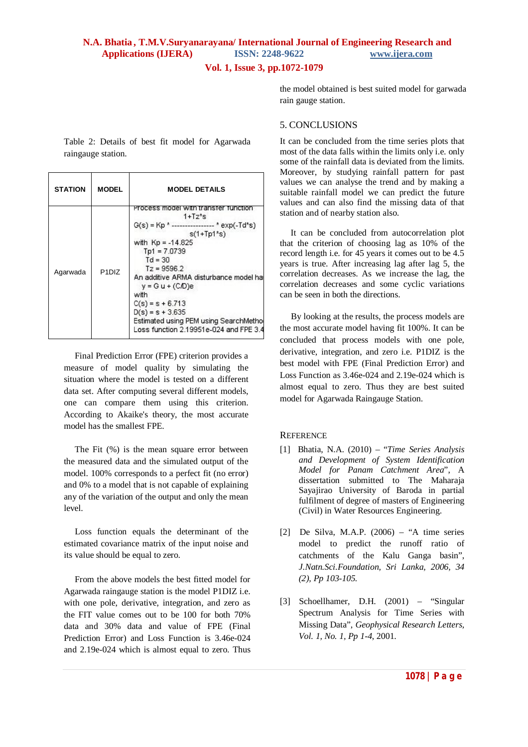**Vol. 1, Issue 3, pp.1072-1079**

Table 2: Details of best fit model for Agarwada raingauge station.

| <b>STATION</b> | <b>MODEL</b>                    | <b>MODEL DETAILS</b>                                                                                                                                                                                                                                                                                                                                                                               |
|----------------|---------------------------------|----------------------------------------------------------------------------------------------------------------------------------------------------------------------------------------------------------------------------------------------------------------------------------------------------------------------------------------------------------------------------------------------------|
| Agarwada       | P <sub>1</sub> D <sub>I</sub> Z | Process model with transfer function<br>$1+Tz^*s$<br>$G(s)$ = Kp $*$ ---------------- $*$ exp(-Td*s)<br>$s(1+Tp1^*s)$<br>with $Kp = -14.825$<br>$Tp1 = 7.0739$<br>$Td = 30$<br>$Tz = 9596.2$<br>An additive ARMA disturbance model ha<br>$y = G u + (C/D)e$<br>with<br>$C(s) = s + 6.713$<br>$D(s) = s + 3.635$<br>Estimated using PEM using SearchMetho<br>Loss function 2.19951e-024 and FPE 3.4 |

 Final Prediction Error (FPE) criterion provides a measure of model quality by simulating the situation where the model is tested on a different data set. After computing several different models, one can compare them using this criterion. According to Akaike's theory, the most accurate model has the smallest FPE.

 The Fit (%) is the mean square error between the measured data and the simulated output of the model. 100% corresponds to a perfect fit (no error) and 0% to a model that is not capable of explaining any of the variation of the output and only the mean level.

 Loss function equals the determinant of the estimated covariance matrix of the input noise and its value should be equal to zero.

 From the above models the best fitted model for Agarwada raingauge station is the model P1DIZ i.e. with one pole, derivative, integration, and zero as the FIT value comes out to be 100 for both 70% data and 30% data and value of FPE (Final Prediction Error) and Loss Function is 3.46e-024 and 2.19e-024 which is almost equal to zero. Thus

the model obtained is best suited model for garwada rain gauge station.

## 5. CONCLUSIONS

It can be concluded from the time series plots that most of the data falls within the limits only i.e. only some of the rainfall data is deviated from the limits. Moreover, by studying rainfall pattern for past values we can analyse the trend and by making a suitable rainfall model we can predict the future values and can also find the missing data of that station and of nearby station also.

 It can be concluded from autocorrelation plot that the criterion of choosing lag as 10% of the record length i.e. for 45 years it comes out to be 4.5 years is true. After increasing lag after lag 5, the correlation decreases. As we increase the lag, the correlation decreases and some cyclic variations can be seen in both the directions.

 By looking at the results, the process models are the most accurate model having fit 100%. It can be concluded that process models with one pole, derivative, integration, and zero i.e. P1DIZ is the best model with FPE (Final Prediction Error) and Loss Function as 3.46e-024 and 2.19e-024 which is almost equal to zero. Thus they are best suited model for Agarwada Raingauge Station.

## **REFERENCE**

- [1] Bhatia, N.A. (2010) "*Time Series Analysis and Development of System Identification Model for Panam Catchment Area*", A dissertation submitted to The Maharaja Sayajirao University of Baroda in partial fulfilment of degree of masters of Engineering (Civil) in Water Resources Engineering.
- [2] De Silva, M.A.P. (2006) "A time series model to predict the runoff ratio of catchments of the Kalu Ganga basin", *J.Natn.Sci.Foundation, Sri Lanka, 2006, 34 (2), Pp 103-105.*
- [3] Schoellhamer, D.H. (2001) "Singular Spectrum Analysis for Time Series with Missing Data", *Geophysical Research Letters, Vol. 1, No. 1, Pp 1-4*, 2001.